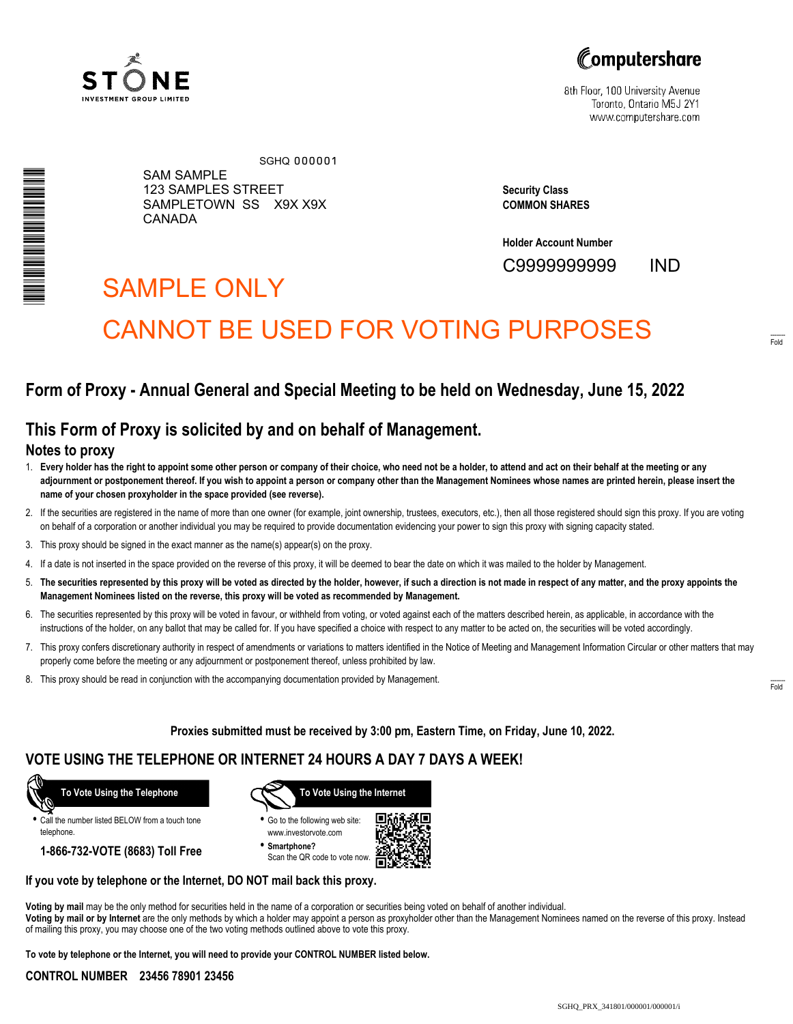



8th Floor, 100 University Avenue Toronto, Ontario M5J 2Y1 www.computershare.com

| N NA HAIRA NA MARATARA NA MARATARA NA MARATARA NA MARATARA NA MARATARA NA MARATARA NA MARATARA NA MARATARA NA<br>Na maratara na maratara na maratara na maratara na maratara na maratara na maratara na maratara na maratara na |
|---------------------------------------------------------------------------------------------------------------------------------------------------------------------------------------------------------------------------------|
|                                                                                                                                                                                                                                 |
|                                                                                                                                                                                                                                 |
|                                                                                                                                                                                                                                 |
|                                                                                                                                                                                                                                 |
|                                                                                                                                                                                                                                 |
|                                                                                                                                                                                                                                 |
|                                                                                                                                                                                                                                 |
|                                                                                                                                                                                                                                 |
|                                                                                                                                                                                                                                 |
|                                                                                                                                                                                                                                 |
|                                                                                                                                                                                                                                 |
|                                                                                                                                                                                                                                 |
|                                                                                                                                                                                                                                 |
|                                                                                                                                                                                                                                 |
|                                                                                                                                                                                                                                 |
|                                                                                                                                                                                                                                 |
|                                                                                                                                                                                                                                 |
|                                                                                                                                                                                                                                 |
|                                                                                                                                                                                                                                 |
|                                                                                                                                                                                                                                 |
|                                                                                                                                                                                                                                 |
|                                                                                                                                                                                                                                 |
|                                                                                                                                                                                                                                 |
|                                                                                                                                                                                                                                 |
|                                                                                                                                                                                                                                 |
|                                                                                                                                                                                                                                 |
|                                                                                                                                                                                                                                 |
|                                                                                                                                                                                                                                 |
|                                                                                                                                                                                                                                 |
|                                                                                                                                                                                                                                 |
|                                                                                                                                                                                                                                 |
|                                                                                                                                                                                                                                 |
|                                                                                                                                                                                                                                 |
|                                                                                                                                                                                                                                 |
|                                                                                                                                                                                                                                 |

SAM SAMPLE 123 SAMPLES STREET SAMPLETOWN SS X9X X9X CANADA SGHQ 000001

**Security Class COMMON SHARES**

**Holder Account Number**

C9999999999 IND

## SAMPLE ONLY

# CANNOT BE USED FOR VOTING PURPOSES

## **Form of Proxy - Annual General and Special Meeting to be held on Wednesday, June 15, 2022**

## **This Form of Proxy is solicited by and on behalf of Management.**

#### **Notes to proxy**

- 1. **Every holder has the right to appoint some other person or company of their choice, who need not be a holder, to attend and act on their behalf at the meeting or any adjournment or postponement thereof. If you wish to appoint a person or company other than the Management Nominees whose names are printed herein, please insert the name of your chosen proxyholder in the space provided (see reverse).**
- 2. If the securities are registered in the name of more than one owner (for example, joint ownership, trustees, executors, etc.), then all those registered should sign this proxy. If you are voting on behalf of a corporation or another individual you may be required to provide documentation evidencing your power to sign this proxy with signing capacity stated.
- 3. This proxy should be signed in the exact manner as the name(s) appear(s) on the proxy.
- 4. If a date is not inserted in the space provided on the reverse of this proxy, it will be deemed to bear the date on which it was mailed to the holder by Management.
- 5. **The securities represented by this proxy will be voted as directed by the holder, however, if such a direction is not made in respect of any matter, and the proxy appoints the Management Nominees listed on the reverse, this proxy will be voted as recommended by Management.**
- 6. The securities represented by this proxy will be voted in favour, or withheld from voting, or voted against each of the matters described herein, as applicable, in accordance with the instructions of the holder, on any ballot that may be called for. If you have specified a choice with respect to any matter to be acted on, the securities will be voted accordingly.
- 7. This proxy confers discretionary authority in respect of amendments or variations to matters identified in the Notice of Meeting and Management Information Circular or other matters that may properly come before the meeting or any adjournment or postponement thereof, unless prohibited by law.
- 8. This proxy should be read in conjunction with the accompanying documentation provided by Management.

**Proxies submitted must be received by 3:00 pm, Eastern Time, on Friday, June 10, 2022.**

## **VOTE USING THE TELEPHONE OR INTERNET 24 HOURS A DAY 7 DAYS A WEEK!**



**•** Call the number listed BELOW from a touch tone telephone.

**1-866-732-VOTE (8683) Toll Free**



**•** Go to the following web site: www.investorvote.com

**• Smartphone?** Scan the QR code to vote now.



#### **If you vote by telephone or the Internet, DO NOT mail back this proxy.**

**Voting by mail** may be the only method for securities held in the name of a corporation or securities being voted on behalf of another individual. **Voting by mail or by Internet** are the only methods by which a holder may appoint a person as proxyholder other than the Management Nominees named on the reverse of this proxy. Instead of mailing this proxy, you may choose one of the two voting methods outlined above to vote this proxy.

**To vote by telephone or the Internet, you will need to provide your CONTROL NUMBER listed below.**

#### **CONTROL NUMBER 23456 78901 23456**